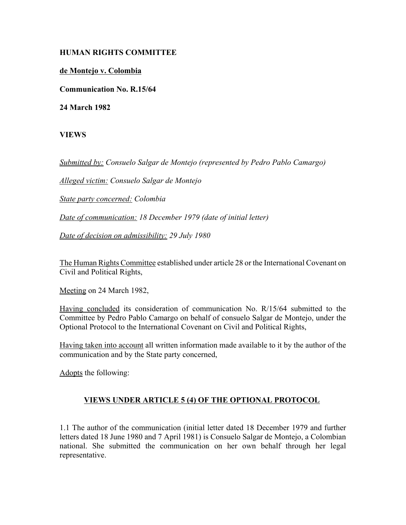## **HUMAN RIGHTS COMMITTEE**

## **de Montejo v. Colombia**

**Communication No. R.15/64**

**24 March 1982**

**VIEWS**

*Submitted by: Consuelo Salgar de Montejo (represented by Pedro Pablo Camargo)*

*Alleged victim: Consuelo Salgar de Montejo* 

*State party concerned: Colombia* 

*Date of communication: 18 December 1979 (date of initial letter)* 

*Date of decision on admissibility: 29 July 1980* 

The Human Rights Committee established under article 28 or the International Covenant on Civil and Political Rights,

Meeting on 24 March 1982,

Having concluded its consideration of communication No. R/15/64 submitted to the Committee by Pedro Pablo Camargo on behalf of consuelo Salgar de Montejo, under the Optional Protocol to the International Covenant on Civil and Political Rights,

Having taken into account all written information made available to it by the author of the communication and by the State party concerned,

Adopts the following:

## **VIEWS UNDER ARTICLE 5 (4) OF THE OPTIONAL PROTOCOL**

1.1 The author of the communication (initial letter dated 18 December 1979 and further letters dated 18 June 1980 and 7 April 1981) is Consuelo Salgar de Montejo, a Colombian national. She submitted the communication on her own behalf through her legal representative.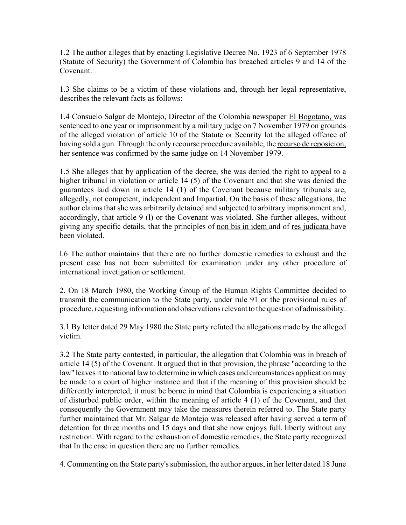1.2 The author alleges that by enacting Legislative Decree No. 1923 of 6 September 1978 (Statute of Security) the Government of Colombia has breached articles 9 and 14 of the Covenant.

1.3 She claims to be a victim of these violations and, through her legal representative, describes the relevant facts as follows:

1.4 Consuelo Salgar de Montejo, Director of the Colombia newspaper El Bogotano, was sentenced to one year or imprisonment by a military judge on 7 November 1979 on grounds of the alleged violation of article 10 of the Statute or Security lot the alleged offence of having sold a gun. Through the only recourse procedure available, the recurso de reposicion, her sentence was confirmed by the same judge on 14 November 1979.

1.5 She alleges that by application of the decree, she was denied the right to appeal to a higher tribunal in violation or article 14 (5) of the Covenant and that she was denied the guarantees laid down in article 14 (1) of the Covenant because military tribunals are, allegedly, not competent, independent and Impartial. On the basis of these allegations, the author claims that she was arbitrarily detained and subjected to arbitrary imprisonment and, accordingly, that article 9 (l) or the Covenant was violated. She further alleges, without giving any specific details, that the principles of non bis in idem and of res judicata have been violated.

l.6 The author maintains that there are no further domestic remedies to exhaust and the present case has not been submitted for examination under any other procedure of international invetigation or settlement.

2. On 18 March 1980, the Working Group of the Human Rights Committee decided to transmit the communication to the State party, under rule 91 or the provisional rules of procedure, requesting information and observations relevant to the question of admissibility.

3.1 By letter dated 29 May 1980 the State party refuted the allegations made by the alleged victim.

3.2 The State party contested, in particular, the allegation that Colombia was in breach of article 14 (5) of the Covenant. It argued that in that provision, the phrase "according to the law" leaves it to national law to determine in which cases and circumstances application may be made to a court of higher instance and that if the meaning of this provision should be differently interpreted, it must be borne in mind that Colombia is experiencing a situation of disturbed public order, within the meaning of article 4 (1) of the Covenant, and that consequently the Government may take the measures therein referred to. The State party further maintained that Mr. Salgar de Montejo was released after having served a term of detention for three months and 15 days and that she now enjoys full. liberty without any restriction. With regard to the exhaustion of domestic remedies, the State party recognized that In the case in question there are no further remedies.

4. Commenting on the State party's submission, the author argues, in her letter dated 18 June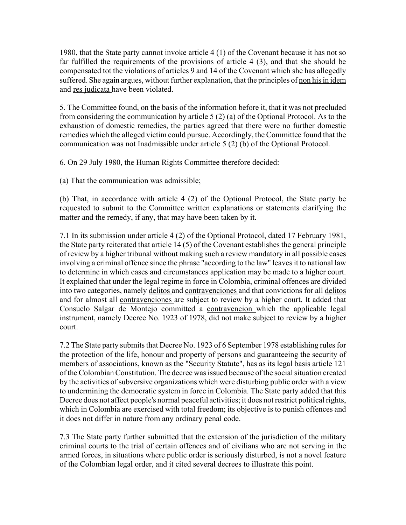1980, that the State party cannot invoke article 4 (1) of the Covenant because it has not so far fulfilled the requirements of the provisions of article 4 (3), and that she should be compensated tot the violations of articles 9 and 14 of the Covenant which she has allegedly suffered. She again argues, without further explanation, that the principles of non his in idem and res judicata have been violated.

5. The Committee found, on the basis of the information before it, that it was not precluded from considering the communication by article 5 (2) (a) of the Optional Protocol. As to the exhaustion of domestic remedies, the parties agreed that there were no further domestic remedies which the alleged victim could pursue. Accordingly, the Committee found that the communication was not Inadmissible under article 5 (2) (b) of the Optional Protocol.

6. On 29 July 1980, the Human Rights Committee therefore decided:

(a) That the communication was admissible;

(b) That, in accordance with article 4 (2) of the Optional Protocol, the State party be requested to submit to the Committee written explanations or statements clarifying the matter and the remedy, if any, that may have been taken by it.

7.1 In its submission under article 4 (2) of the Optional Protocol, dated 17 February 1981, the State party reiterated that article 14 (5) of the Covenant establishes the general principle of review by a higher tribunal without making such a review mandatory in all possible cases involving a criminal offence since the phrase "according to the law" leaves it to national law to determine in which cases and circumstances application may be made to a higher court. It explained that under the legal regime in force in Colombia, criminal offences are divided into two categories, namely delitos and contravenciones and that convictions for all delitos and for almost all contravenciones are subject to review by a higher court. It added that Consuelo Salgar de Montejo committed a contravencion which the applicable legal instrument, namely Decree No. 1923 of 1978, did not make subject to review by a higher court.

7.2 The State party submits that Decree No. 1923 of 6 September 1978 establishing rules for the protection of the life, honour and property of persons and guaranteeing the security of members of associations, known as the "Security Statute", has as its legal basis article 121 of the Colombian Constitution. The decree was issued because of the social situation created by the activities of subversive organizations which were disturbing public order with a view to undermining the democratic system in force in Colombia. The State party added that this Decree does not affect people's normal peaceful activities; it does not restrict political rights, which in Colombia are exercised with total freedom; its objective is to punish offences and it does not differ in nature from any ordinary penal code.

7.3 The State party further submitted that the extension of the jurisdiction of the military criminal courts to the trial of certain offences and of civilians who are not serving in the armed forces, in situations where public order is seriously disturbed, is not a novel feature of the Colombian legal order, and it cited several decrees to illustrate this point.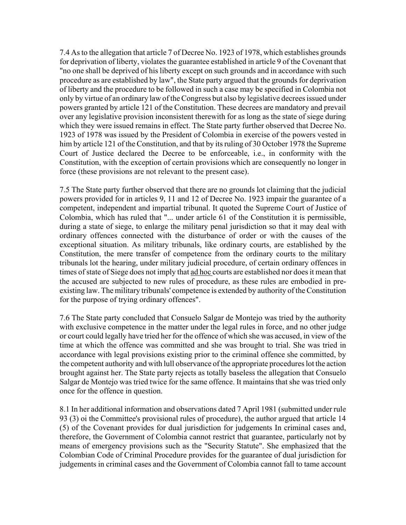7.4 As to the allegation that article 7 of Decree No. 1923 of 1978, which establishes grounds for deprivation of liberty, violates the guarantee established in article 9 of the Covenant that "no one shall be deprived of his liberty except on such grounds and in accordance with such procedure as are established by law", the State party argued that the grounds for deprivation of liberty and the procedure to be followed in such a case may be specified in Colombia not only by virtue of an ordinary law of the Congress but also by legislative decrees issued under powers granted by article 121 of the Constitution. These decrees are mandatory and prevail over any legislative provision inconsistent therewith for as long as the state of siege during which they were issued remains in effect. The State party further observed that Decree No. 1923 of 1978 was issued by the President of Colombia in exercise of the powers vested in him by article 121 of the Constitution, and that by its ruling of 30 October 1978 the Supreme Court of Justice declared the Decree to be enforceable, i.e., in conformity with the Constitution, with the exception of certain provisions which are consequently no longer in force (these provisions are not relevant to the present case).

7.5 The State party further observed that there are no grounds lot claiming that the judicial powers provided for in articles 9, 11 and 12 of Decree No. 1923 impair the guarantee of a competent, independent and impartial tribunal. It quoted the Supreme Court of Justice of Colombia, which has ruled that "... under article 61 of the Constitution it is permissible, during a state of siege, to enlarge the military penal jurisdiction so that it may deal with ordinary offences connected with the disturbance of order or with the causes of the exceptional situation. As military tribunals, like ordinary courts, are established by the Constitution, the mere transfer of competence from the ordinary courts to the military tribunals lot the hearing, under military judicial procedure, of certain ordinary offences in times of state of Siege does not imply that ad hoc courts are established nor does it mean that the accused are subjected to new rules of procedure, as these rules are embodied in preexisting law. The military tribunals' competence is extended by authority of the Constitution for the purpose of trying ordinary offences".

7.6 The State party concluded that Consuelo Salgar de Montejo was tried by the authority with exclusive competence in the matter under the legal rules in force, and no other judge or court could legally have tried her for the offence of which she was accused, in view of the time at which the offence was committed and she was brought to trial. She was tried in accordance with legal provisions existing prior to the criminal offence she committed, by the competent authority and with lull observance of the appropriate procedures lot the action brought against her. The State party rejects as totally baseless the allegation that Consuelo Salgar de Montejo was tried twice for the same offence. It maintains that she was tried only once for the offence in question.

8.1 In her additional information and observations dated 7 April 1981 (submitted under rule 93 (3) oi the Committee's provisional rules of procedure), the author argued that article 14 (5) of the Covenant provides for dual jurisdiction for judgements In criminal cases and, therefore, the Government of Colombia cannot restrict that guarantee, particularly not by means of emergency provisions such as the "Security Statute". She emphasized that the Colombian Code of Criminal Procedure provides for the guarantee of dual jurisdiction for judgements in criminal cases and the Government of Colombia cannot fall to tame account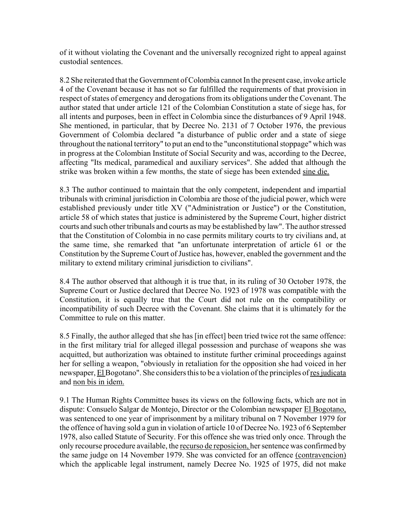of it without violating the Covenant and the universally recognized right to appeal against custodial sentences.

8.2 She reiterated that the Government of Colombia cannot In the present case, invoke article 4 of the Covenant because it has not so far fulfilled the requirements of that provision in respect of states of emergency and derogations from its obligations under the Covenant. The author stated that under article 121 of the Colombian Constitution a state of siege has, for all intents and purposes, been in effect in Colombia since the disturbances of 9 April 1948. She mentioned, in particular, that by Decree No. 2131 of 7 October 1976, the previous Government of Colombia declared "a disturbance of public order and a state of siege throughout the national territory" to put an end to the "unconstitutional stoppage" which was in progress at the Colombian Institute of Social Security and was, according to the Decree, affecting "Its medical, paramedical and auxiliary services". She added that although the strike was broken within a few months, the state of siege has been extended sine die.

8.3 The author continued to maintain that the only competent, independent and impartial tribunals with criminal jurisdiction in Colombia are those of the judicial power, which were established previously under title XV ("Administration or Justice") or the Constitution, article 58 of which states that justice is administered by the Supreme Court, higher district courts and such other tribunals and courts as may be established by law". The author stressed that the Constitution of Colombia in no case permits military courts to try civilians and, at the same time, she remarked that "an unfortunate interpretation of article 61 or the Constitution by the Supreme Court of Justice has, however, enabled the government and the military to extend military criminal jurisdiction to civilians".

8.4 The author observed that although it is true that, in its ruling of 30 October 1978, the Supreme Court or Justice declared that Decree No. 1923 of 1978 was compatible with the Constitution, it is equally true that the Court did not rule on the compatibility or incompatibility of such Decree with the Covenant. She claims that it is ultimately for the Committee to rule on this matter.

8.5 Finally, the author alleged that she has [in effect] been tried twice rot the same offence: in the first military trial for alleged illegal possession and purchase of weapons she was acquitted, but authorization was obtained to institute further criminal proceedings against her for selling a weapon, "obviously in retaliation for the opposition she had voiced in her newspaper, El Bogotano". She considers this to be a violation of the principles of res judicata and non bis in idem.

9.1 The Human Rights Committee bases its views on the following facts, which are not in dispute: Consuelo Salgar de Montejo, Director or the Colombian newspaper El Bogotano, was sentenced to one year of imprisonment by a military tribunal on 7 November 1979 for the offence of having sold a gun in violation of article 10 of Decree No. 1923 of 6 September 1978, also called Statute of Security. For this offence she was tried only once. Through the only recourse procedure available, the recurso de reposicion, her sentence was confirmed by the same judge on 14 November 1979. She was convicted for an offence (contravencion) which the applicable legal instrument, namely Decree No. 1925 of 1975, did not make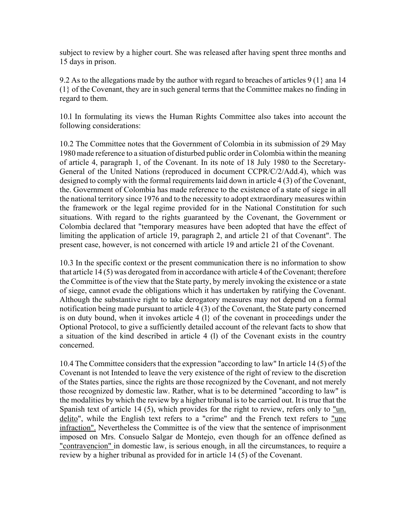subject to review by a higher court. She was released after having spent three months and 15 days in prison.

9.2 As to the allegations made by the author with regard to breaches of articles 9 (1} ana 14 (1} of the Covenant, they are in such general terms that the Committee makes no finding in regard to them.

10.l In formulating its views the Human Rights Committee also takes into account the following considerations:

10.2 The Committee notes that the Government of Colombia in its submission of 29 May 1980 made reference to a situation of disturbed public order in Colombia within the meaning of article 4, paragraph 1, of the Covenant. In its note of 18 July 1980 to the Secretary-General of the United Nations (reproduced in document CCPR/C/2/Add.4), which was designed to comply with the formal requirements laid down in article 4 (3) of the Covenant, the. Government of Colombia has made reference to the existence of a state of siege in all the national territory since 1976 and to the necessity to adopt extraordinary measures within the framework or the legal regime provided for in the National Constitution for such situations. With regard to the rights guaranteed by the Covenant, the Government or Colombia declared that "temporary measures have been adopted that have the effect of limiting the application of article 19, paragraph 2, and article 21 of that Covenant". The present case, however, is not concerned with article 19 and article 21 of the Covenant.

10.3 In the specific context or the present communication there is no information to show that article 14 (5) was derogated from in accordance with article 4 of the Covenant; therefore the Committee is of the view that the State party, by merely invoking the existence or a state of siege, cannot evade the obligations which it has undertaken by ratifying the Covenant. Although the substantive right to take derogatory measures may not depend on a formal notification being made pursuant to article 4 (3) of the Covenant, the State party concerned is on duty bound, when it invokes article 4 (l} of the covenant in proceedings under the Optional Protocol, to give a sufficiently detailed account of the relevant facts to show that a situation of the kind described in article 4 (l) of the Covenant exists in the country concerned.

10.4 The Committee considers that the expression "according to law" In article 14 (5) of the Covenant is not Intended to leave the very existence of the right of review to the discretion of the States parties, since the rights are those recognized by the Covenant, and not merely those recognized by domestic law. Rather, what is to be determined "according to law" is the modalities by which the review by a higher tribunal is to be carried out. It is true that the Spanish text of article 14 (5), which provides for the right to review, refers only to "un. delito", while the English text refers to a "crime" and the French text refers to "une infraction". Nevertheless the Committee is of the view that the sentence of imprisonment imposed on Mrs. Consuelo Salgar de Montejo, even though for an offence defined as "contravencion" in domestic law, is serious enough, in all the circumstances, to require a review by a higher tribunal as provided for in article 14 (5) of the Covenant.